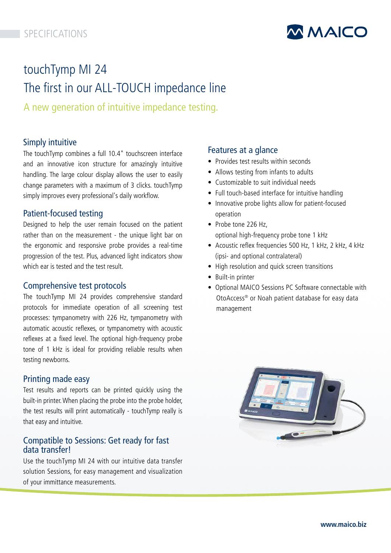# SPECIFICATIONS



# touchTymp MI 24 The first in our ALL-TOUCH impedance line

A new generation of intuitive impedance testing.

# Simply intuitive

The touchTymp combines a full 10.4" touchscreen interface and an innovative icon structure for amazingly intuitive handling. The large colour display allows the user to easily change parameters with a maximum of 3 clicks. touchTymp simply improves every professional's daily workflow.

# Patient-focused testing

Designed to help the user remain focused on the patient rather than on the measurement - the unique light bar on the ergonomic and responsive probe provides a real-time progression of the test. Plus, advanced light indicators show which ear is tested and the test result.

# Comprehensive test protocols

The touchTymp MI 24 provides comprehensive standard protocols for immediate operation of all screening test processes: tympanometry with 226 Hz, tympanometry with automatic acoustic reflexes, or tympanometry with acoustic reflexes at a fixed level. The optional high-frequency probe tone of 1 kHz is ideal for providing reliable results when testing newborns.

# Printing made easy

Test results and reports can be printed quickly using the built-in printer. When placing the probe into the probe holder, the test results will print automatically - touchTymp really is that easy and intuitive.

# Compatible to Sessions: Get ready for fast data transfer!

Use the touchTymp MI 24 with our intuitive data transfer solution Sessions, for easy management and visualization of your immittance measurements.

# Features at a glance

- Provides test results within seconds
- Allows testing from infants to adults
- Customizable to suit individual needs
- Full touch-based interface for intuitive handling
- Innovative probe lights allow for patient-focused operation
- Probe tone 226 Hz. optional high-frequency probe tone 1 kHz
- Acoustic reflex frequencies 500 Hz, 1 kHz, 2 kHz, 4 kHz (ipsi- and optional contralateral)
- High resolution and quick screen transitions
- Built-in printer
- Optional MAICO Sessions PC Software connectable with OtoAccess® or Noah patient database for easy data management